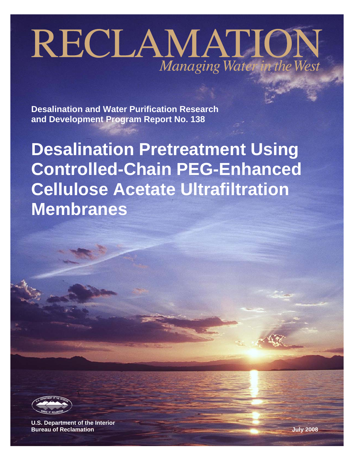# RECLAMATION Managing Water in the West

**Desalination and Water Purification Research and Development Program Report No. 138** 

**Desalination Pretreatment Using Controlled-Chain PEG-Enhanced Cellulose Acetate Ultrafiltration Membranes** 



**U.S. Department of the Interior Bureau of Reclamation July 2008**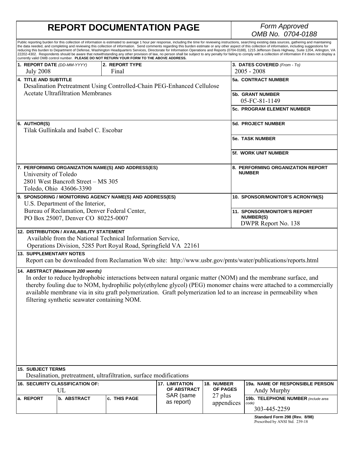### **REPORT DOCUMENTATION PAGE**

# *OMB No. 0704-0188*

|                                                                                                                                                                                                                                                                                                                                                                                                                                               |                                                               | currently valid OMB control number. PLEASE DO NOT RETURN YOUR FORM TO THE ABOVE ADDRESS.                                      |                                                            |                               | Public reporting burden for this collection of information is estimated to average 1 hour per response, including the time for reviewing instructions, searching existing data sources, gathering and maintaining<br>the data needed, and completing and reviewing this collection of information. Send comments regarding this burden estimate or any other aspect of this collection of information, including suggestions for<br>reducing this burden to Department of Defense, Washington Headquarters Services, Directorate for Information Operations and Reports (0704-0188), 1215 Jefferson Davis Highway, Suite 1204, Arlington, VA<br>22202-4302. Respondents should be aware that notwithstanding any other provision of law, no person shall be subject to any penalty for failing to comply with a collection of information if it does not display a |
|-----------------------------------------------------------------------------------------------------------------------------------------------------------------------------------------------------------------------------------------------------------------------------------------------------------------------------------------------------------------------------------------------------------------------------------------------|---------------------------------------------------------------|-------------------------------------------------------------------------------------------------------------------------------|------------------------------------------------------------|-------------------------------|--------------------------------------------------------------------------------------------------------------------------------------------------------------------------------------------------------------------------------------------------------------------------------------------------------------------------------------------------------------------------------------------------------------------------------------------------------------------------------------------------------------------------------------------------------------------------------------------------------------------------------------------------------------------------------------------------------------------------------------------------------------------------------------------------------------------------------------------------------------------|
| 1. REPORT DATE (DD-MM-YYYY).<br><b>July 2008</b>                                                                                                                                                                                                                                                                                                                                                                                              |                                                               | 2. REPORT TYPE<br>Final                                                                                                       |                                                            |                               | 3. DATES COVERED (From - To)<br>$2005 - 2008$                                                                                                                                                                                                                                                                                                                                                                                                                                                                                                                                                                                                                                                                                                                                                                                                                      |
| <b>4. TITLE AND SUBTITLE</b>                                                                                                                                                                                                                                                                                                                                                                                                                  |                                                               | Desalination Pretreatment Using Controlled-Chain PEG-Enhanced Cellulose                                                       |                                                            |                               | 5a. CONTRACT NUMBER                                                                                                                                                                                                                                                                                                                                                                                                                                                                                                                                                                                                                                                                                                                                                                                                                                                |
|                                                                                                                                                                                                                                                                                                                                                                                                                                               | <b>Acetate Ultrafiltration Membranes</b>                      |                                                                                                                               |                                                            |                               | <b>5b. GRANT NUMBER</b><br>05-FC-81-1149                                                                                                                                                                                                                                                                                                                                                                                                                                                                                                                                                                                                                                                                                                                                                                                                                           |
|                                                                                                                                                                                                                                                                                                                                                                                                                                               |                                                               |                                                                                                                               |                                                            |                               | 5c. PROGRAM ELEMENT NUMBER                                                                                                                                                                                                                                                                                                                                                                                                                                                                                                                                                                                                                                                                                                                                                                                                                                         |
| 6. AUTHOR(S)                                                                                                                                                                                                                                                                                                                                                                                                                                  | Tilak Gullinkala and Isabel C. Escobar                        |                                                                                                                               |                                                            |                               | <b>5d. PROJECT NUMBER</b>                                                                                                                                                                                                                                                                                                                                                                                                                                                                                                                                                                                                                                                                                                                                                                                                                                          |
|                                                                                                                                                                                                                                                                                                                                                                                                                                               |                                                               |                                                                                                                               |                                                            |                               | <b>5e. TASK NUMBER</b>                                                                                                                                                                                                                                                                                                                                                                                                                                                                                                                                                                                                                                                                                                                                                                                                                                             |
|                                                                                                                                                                                                                                                                                                                                                                                                                                               |                                                               |                                                                                                                               |                                                            |                               | <b>5f. WORK UNIT NUMBER</b>                                                                                                                                                                                                                                                                                                                                                                                                                                                                                                                                                                                                                                                                                                                                                                                                                                        |
| University of Toledo                                                                                                                                                                                                                                                                                                                                                                                                                          | 2801 West Bancroft Street - MS 305<br>Toledo, Ohio 43606-3390 | 7. PERFORMING ORGANIZATION NAME(S) AND ADDRESS(ES)                                                                            |                                                            |                               | 8. PERFORMING ORGANIZATION REPORT<br><b>NUMBER</b>                                                                                                                                                                                                                                                                                                                                                                                                                                                                                                                                                                                                                                                                                                                                                                                                                 |
|                                                                                                                                                                                                                                                                                                                                                                                                                                               | U.S. Department of the Interior,                              | 9. SPONSORING / MONITORING AGENCY NAME(S) AND ADDRESS(ES)                                                                     |                                                            |                               | 10. SPONSOR/MONITOR'S ACRONYM(S)                                                                                                                                                                                                                                                                                                                                                                                                                                                                                                                                                                                                                                                                                                                                                                                                                                   |
| Bureau of Reclamation, Denver Federal Center,<br><b>NUMBER(S)</b><br>PO Box 25007, Denver CO 80225-0007                                                                                                                                                                                                                                                                                                                                       |                                                               |                                                                                                                               | <b>11. SPONSOR/MONITOR'S REPORT</b><br>DWPR Report No. 138 |                               |                                                                                                                                                                                                                                                                                                                                                                                                                                                                                                                                                                                                                                                                                                                                                                                                                                                                    |
|                                                                                                                                                                                                                                                                                                                                                                                                                                               | <b>12. DISTRIBUTION / AVAILABILITY STATEMENT</b>              | Available from the National Technical Information Service,<br>Operations Division, 5285 Port Royal Road, Springfield VA 22161 |                                                            |                               |                                                                                                                                                                                                                                                                                                                                                                                                                                                                                                                                                                                                                                                                                                                                                                                                                                                                    |
| <b>13. SUPPLEMENTARY NOTES</b>                                                                                                                                                                                                                                                                                                                                                                                                                |                                                               |                                                                                                                               |                                                            |                               | Report can be downloaded from Reclamation Web site: http://www.usbr.gov/pmts/water/publications/reports.html                                                                                                                                                                                                                                                                                                                                                                                                                                                                                                                                                                                                                                                                                                                                                       |
| 14. ABSTRACT (Maximum 200 words)<br>In order to reduce hydrophobic interactions between natural organic matter (NOM) and the membrane surface, and<br>thereby fouling due to NOM, hydrophilic poly(ethylene glycol) (PEG) monomer chains were attached to a commercially<br>available membrane via in situ graft polymerization. Graft polymerization led to an increase in permeability when<br>filtering synthetic seawater containing NOM. |                                                               |                                                                                                                               |                                                            |                               |                                                                                                                                                                                                                                                                                                                                                                                                                                                                                                                                                                                                                                                                                                                                                                                                                                                                    |
| <b>15. SUBJECT TERMS</b>                                                                                                                                                                                                                                                                                                                                                                                                                      |                                                               | Desalination, pretreatment, ultrafiltration, surface modifications                                                            |                                                            |                               |                                                                                                                                                                                                                                                                                                                                                                                                                                                                                                                                                                                                                                                                                                                                                                                                                                                                    |
|                                                                                                                                                                                                                                                                                                                                                                                                                                               | 16. SECURITY CLASSIFICATION OF:<br>UL                         |                                                                                                                               | <b>17. LIMITATION</b><br>OF ABSTRACT                       | 18. NUMBER<br><b>OF PAGES</b> | 19a. NAME OF RESPONSIBLE PERSON                                                                                                                                                                                                                                                                                                                                                                                                                                                                                                                                                                                                                                                                                                                                                                                                                                    |
| a. REPORT                                                                                                                                                                                                                                                                                                                                                                                                                                     | b. ABSTRACT                                                   | c. THIS PAGE                                                                                                                  | SAR (same<br>as report)                                    | 27 plus<br>appendices         | Andy Murphy<br>19b. TELEPHONE NUMBER (include area<br>code)                                                                                                                                                                                                                                                                                                                                                                                                                                                                                                                                                                                                                                                                                                                                                                                                        |
|                                                                                                                                                                                                                                                                                                                                                                                                                                               |                                                               |                                                                                                                               |                                                            |                               | 303-445-2259<br>Standard Form 298 (Rev. 8/98)                                                                                                                                                                                                                                                                                                                                                                                                                                                                                                                                                                                                                                                                                                                                                                                                                      |

Standard Form 298 (Rev. 8/98)<br>Prescribed by ANSI Std. 239-18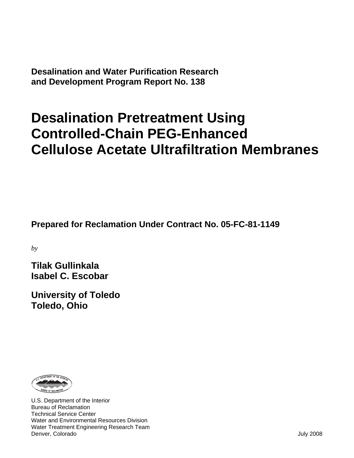**Desalination and Water Purification Research and Development Program Report No. 138** 

# **Desalination Pretreatment Using Controlled-Chain PEG-Enhanced Cellulose Acetate Ultrafiltration Membranes**

**Prepared for Reclamation Under Contract No. 05-FC-81-1149** 

*by* 

**Tilak Gullinkala Isabel C. Escobar** 

**University of Toledo Toledo, Ohio** 



U.S. Department of the Interior Bureau of Reclamation Technical Service Center Water and Environmental Resources Division Water Treatment Engineering Research Team Denver, Colorado July 2008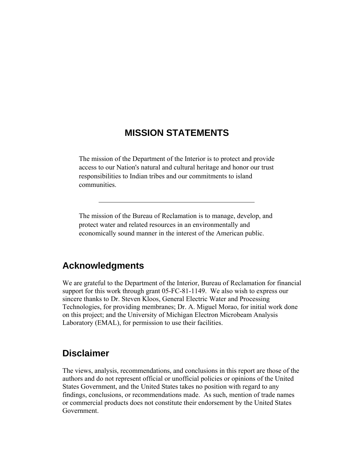#### **MISSION STATEMENTS**

The mission of the Department of the Interior is to protect and provide access to our Nation's natural and cultural heritage and honor our trust responsibilities to Indian tribes and our commitments to island communities.

The mission of the Bureau of Reclamation is to manage, develop, and protect water and related resources in an environmentally and economically sound manner in the interest of the American public.

#### **Acknowledgments**

We are grateful to the Department of the Interior, Bureau of Reclamation for financial support for this work through grant 05-FC-81-1149. We also wish to express our sincere thanks to Dr. Steven Kloos, General Electric Water and Processing Technologies, for providing membranes; Dr. A. Miguel Morao, for initial work done on this project; and the University of Michigan Electron Microbeam Analysis Laboratory (EMAL), for permission to use their facilities.

#### **Disclaimer**

The views, analysis, recommendations, and conclusions in this report are those of the authors and do not represent official or unofficial policies or opinions of the United States Government, and the United States takes no position with regard to any findings, conclusions, or recommendations made. As such, mention of trade names or commercial products does not constitute their endorsement by the United States Government.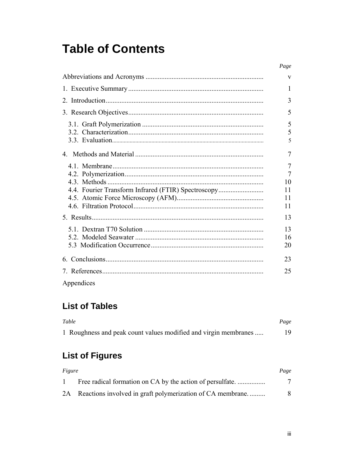### **Table of Contents**

|                                                     | Page                                        |
|-----------------------------------------------------|---------------------------------------------|
|                                                     | V                                           |
|                                                     | 1                                           |
|                                                     | 3                                           |
|                                                     | 5                                           |
|                                                     | 5<br>5<br>5                                 |
|                                                     | 7                                           |
| 4.4. Fourier Transform Infrared (FTIR) Spectroscopy | 7<br>$\overline{7}$<br>10<br>11<br>11<br>11 |
|                                                     | 13                                          |
|                                                     | 13<br>16<br>20                              |
|                                                     | 23                                          |
|                                                     | 25                                          |
| Appendices                                          |                                             |

#### **List of Tables**

| Table                                                           | Page |
|-----------------------------------------------------------------|------|
| 1 Roughness and peak count values modified and virgin membranes | 19   |

### **List of Figures**

| Figure       |                                                              | Page |
|--------------|--------------------------------------------------------------|------|
| $\mathbf{1}$ |                                                              |      |
|              | 2A Reactions involved in graft polymerization of CA membrane |      |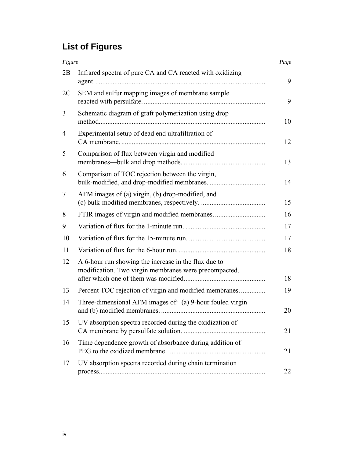### **List of Figures**

| Figure |                                                                                                               | Page |
|--------|---------------------------------------------------------------------------------------------------------------|------|
| 2B     | Infrared spectra of pure CA and CA reacted with oxidizing                                                     | 9    |
| 2C     | SEM and sulfur mapping images of membrane sample                                                              | 9    |
| 3      | Schematic diagram of graft polymerization using drop                                                          | 10   |
| 4      | Experimental setup of dead end ultrafiltration of                                                             | 12   |
| 5      | Comparison of flux between virgin and modified                                                                | 13   |
| 6      | Comparison of TOC rejection between the virgin,                                                               | 14   |
| 7      | AFM images of (a) virgin, (b) drop-modified, and                                                              | 15   |
| 8      |                                                                                                               | 16   |
| 9      |                                                                                                               | 17   |
| 10     |                                                                                                               | 17   |
| 11     |                                                                                                               | 18   |
| 12     | A 6-hour run showing the increase in the flux due to<br>modification. Two virgin membranes were precompacted, | 18   |
| 13     | Percent TOC rejection of virgin and modified membranes                                                        | 19   |
| 14     | Three-dimensional AFM images of: (a) 9-hour fouled virgin                                                     | 20   |
| 15     | UV absorption spectra recorded during the oxidization of                                                      | 21   |
| 16     | Time dependence growth of absorbance during addition of                                                       | 21   |
| 17     | UV absorption spectra recorded during chain termination                                                       | 22   |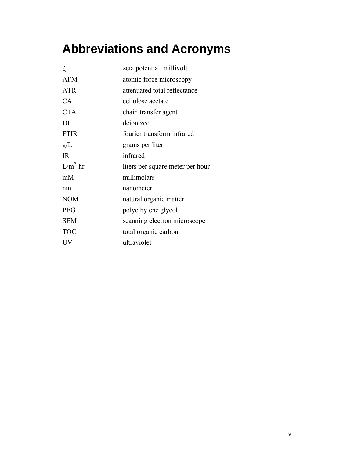# **Abbreviations and Acronyms**

| ξ           | zeta potential, millivolt        |
|-------------|----------------------------------|
| <b>AFM</b>  | atomic force microscopy          |
| <b>ATR</b>  | attenuated total reflectance     |
| CA.         | cellulose acetate                |
| <b>CTA</b>  | chain transfer agent             |
| DI          | deionized                        |
| <b>FTIR</b> | fourier transform infrared       |
| g/L         | grams per liter                  |
| IR          | infrared                         |
| $L/m^2$ -hr | liters per square meter per hour |
| mM          | millimolars                      |
| nm          | nanometer                        |
| <b>NOM</b>  | natural organic matter           |
| <b>PEG</b>  | polyethylene glycol              |
| <b>SEM</b>  | scanning electron microscope     |
| <b>TOC</b>  | total organic carbon             |
| UV          | ultraviolet                      |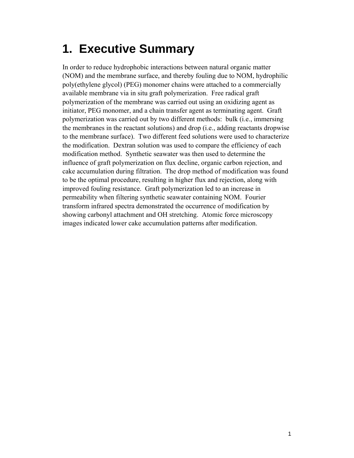## **1. Executive Summary**

In order to reduce hydrophobic interactions between natural organic matter (NOM) and the membrane surface, and thereby fouling due to NOM, hydrophilic poly(ethylene glycol) (PEG) monomer chains were attached to a commercially available membrane via in situ graft polymerization. Free radical graft polymerization of the membrane was carried out using an oxidizing agent as initiator, PEG monomer, and a chain transfer agent as terminating agent. Graft polymerization was carried out by two different methods: bulk (i.e., immersing the membranes in the reactant solutions) and drop (i.e., adding reactants dropwise to the membrane surface). Two different feed solutions were used to characterize the modification. Dextran solution was used to compare the efficiency of each modification method. Synthetic seawater was then used to determine the influence of graft polymerization on flux decline, organic carbon rejection, and cake accumulation during filtration. The drop method of modification was found to be the optimal procedure, resulting in higher flux and rejection, along with improved fouling resistance. Graft polymerization led to an increase in permeability when filtering synthetic seawater containing NOM. Fourier transform infrared spectra demonstrated the occurrence of modification by showing carbonyl attachment and OH stretching. Atomic force microscopy images indicated lower cake accumulation patterns after modification.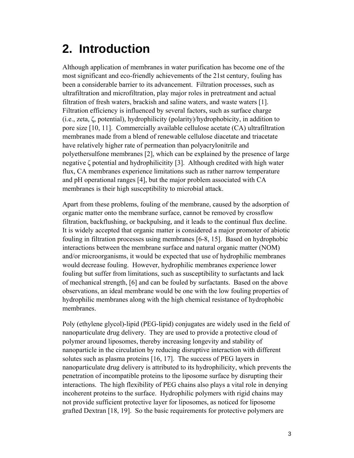### **2. Introduction**

Although application of membranes in water purification has become one of the most significant and eco-friendly achievements of the 21st century, fouling has been a considerable barrier to its advancement. Filtration processes, such as ultrafiltration and microfiltration, play major roles in pretreatment and actual filtration of fresh waters, brackish and saline waters, and waste waters [1]. Filtration efficiency is influenced by several factors, such as surface charge (i.e., zeta, ζ, potential), hydrophilicity (polarity)/hydrophobicity, in addition to pore size [10, 11]. Commercially available cellulose acetate (CA) ultrafiltration membranes made from a blend of renewable cellulose diacetate and triacetate have relatively higher rate of permeation than polyacrylonitrile and polyethersulfone membranes [2], which can be explained by the presence of large negative ζ potential and hydrophilicitity [3]. Although credited with high water flux, CA membranes experience limitations such as rather narrow temperature and pH operational ranges [4], but the major problem associated with CA membranes is their high susceptibility to microbial attack.

Apart from these problems, fouling of the membrane, caused by the adsorption of organic matter onto the membrane surface, cannot be removed by crossflow filtration, backflushing, or backpulsing, and it leads to the continual flux decline. It is widely accepted that organic matter is considered a major promoter of abiotic fouling in filtration processes using membranes [6-8, 15]. Based on hydrophobic interactions between the membrane surface and natural organic matter (NOM) and/or microorganisms, it would be expected that use of hydrophilic membranes would decrease fouling. However, hydrophilic membranes experience lower fouling but suffer from limitations, such as susceptibility to surfactants and lack of mechanical strength, [6] and can be fouled by surfactants. Based on the above observations, an ideal membrane would be one with the low fouling properties of hydrophilic membranes along with the high chemical resistance of hydrophobic membranes.

Poly (ethylene glycol)-lipid (PEG-lipid) conjugates are widely used in the field of nanoparticulate drug delivery. They are used to provide a protective cloud of polymer around liposomes, thereby increasing longevity and stability of nanoparticle in the circulation by reducing disruptive interaction with different solutes such as plasma proteins [16, 17]. The success of PEG layers in nanoparticulate drug delivery is attributed to its hydrophilicity, which prevents the penetration of incompatible proteins to the liposome surface by disrupting their interactions. The high flexibility of PEG chains also plays a vital role in denying incoherent proteins to the surface. Hydrophilic polymers with rigid chains may not provide sufficient protective layer for liposomes, as noticed for liposome grafted Dextran [18, 19]. So the basic requirements for protective polymers are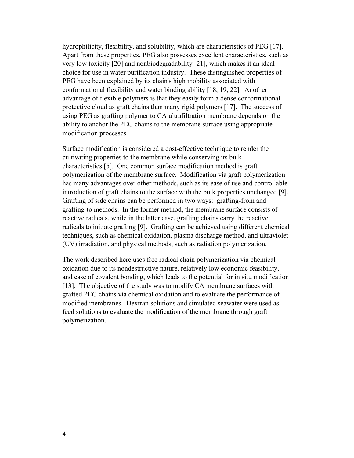hydrophilicity, flexibility, and solubility, which are characteristics of PEG [17]. Apart from these properties, PEG also possesses excellent characteristics, such as very low toxicity [20] and nonbiodegradability [21], which makes it an ideal choice for use in water purification industry. These distinguished properties of PEG have been explained by its chain's high mobility associated with conformational flexibility and water binding ability [18, 19, 22]. Another advantage of flexible polymers is that they easily form a dense conformational protective cloud as graft chains than many rigid polymers [17]. The success of using PEG as grafting polymer to CA ultrafiltration membrane depends on the ability to anchor the PEG chains to the membrane surface using appropriate modification processes.

Surface modification is considered a cost-effective technique to render the cultivating properties to the membrane while conserving its bulk characteristics [5]. One common surface modification method is graft polymerization of the membrane surface. Modification via graft polymerization has many advantages over other methods, such as its ease of use and controllable introduction of graft chains to the surface with the bulk properties unchanged [9]. Grafting of side chains can be performed in two ways: grafting-from and grafting-to methods. In the former method, the membrane surface consists of reactive radicals, while in the latter case, grafting chains carry the reactive radicals to initiate grafting [9]. Grafting can be achieved using different chemical techniques, such as chemical oxidation, plasma discharge method, and ultraviolet (UV) irradiation, and physical methods, such as radiation polymerization.

The work described here uses free radical chain polymerization via chemical oxidation due to its nondestructive nature, relatively low economic feasibility, and ease of covalent bonding, which leads to the potential for in situ modification [13]. The objective of the study was to modify CA membrane surfaces with grafted PEG chains via chemical oxidation and to evaluate the performance of modified membranes. Dextran solutions and simulated seawater were used as feed solutions to evaluate the modification of the membrane through graft polymerization.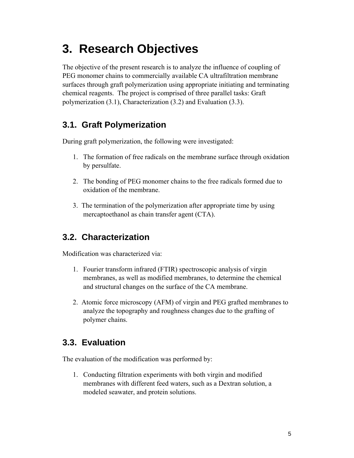# **3. Research Objectives**

The objective of the present research is to analyze the influence of coupling of PEG monomer chains to commercially available CA ultrafiltration membrane surfaces through graft polymerization using appropriate initiating and terminating chemical reagents. The project is comprised of three parallel tasks: Graft polymerization (3.1), Characterization (3.2) and Evaluation (3.3).

#### **3.1. Graft Polymerization**

During graft polymerization, the following were investigated:

- 1. The formation of free radicals on the membrane surface through oxidation by persulfate.
- 2. The bonding of PEG monomer chains to the free radicals formed due to oxidation of the membrane.
- 3. The termination of the polymerization after appropriate time by using mercaptoethanol as chain transfer agent (CTA).

#### **3.2. Characterization**

Modification was characterized via:

- 1. Fourier transform infrared (FTIR) spectroscopic analysis of virgin membranes, as well as modified membranes, to determine the chemical and structural changes on the surface of the CA membrane.
- 2. Atomic force microscopy (AFM) of virgin and PEG grafted membranes to analyze the topography and roughness changes due to the grafting of polymer chains.

#### **3.3. Evaluation**

The evaluation of the modification was performed by:

1. Conducting filtration experiments with both virgin and modified membranes with different feed waters, such as a Dextran solution, a modeled seawater, and protein solutions.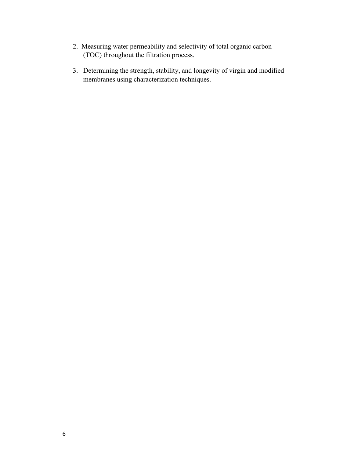- 2. Measuring water permeability and selectivity of total organic carbon (TOC) throughout the filtration process.
- 3. Determining the strength, stability, and longevity of virgin and modified membranes using characterization techniques.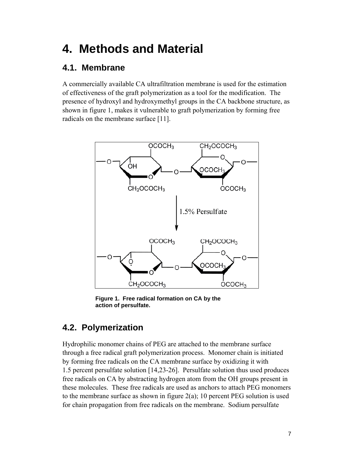### **4. Methods and Material**

#### **4.1. Membrane**

A commercially available CA ultrafiltration membrane is used for the estimation of effectiveness of the graft polymerization as a tool for the modification. The presence of hydroxyl and hydroxymethyl groups in the CA backbone structure, as shown in figure 1, makes it vulnerable to graft polymerization by forming free radicals on the membrane surface [11].



**Figure 1. Free radical formation on CA by the action of persulfate.** 

#### **4.2. Polymerization**

Hydrophilic monomer chains of PEG are attached to the membrane surface through a free radical graft polymerization process. Monomer chain is initiated by forming free radicals on the CA membrane surface by oxidizing it with 1.5 percent persulfate solution [14,23-26]. Persulfate solution thus used produces free radicals on CA by abstracting hydrogen atom from the OH groups present in these molecules. These free radicals are used as anchors to attach PEG monomers to the membrane surface as shown in figure  $2(a)$ ; 10 percent PEG solution is used for chain propagation from free radicals on the membrane. Sodium persulfate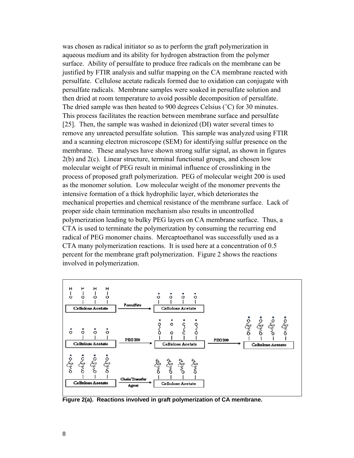was chosen as radical initiator so as to perform the graft polymerization in aqueous medium and its ability for hydrogen abstraction from the polymer surface. Ability of persulfate to produce free radicals on the membrane can be justified by FTIR analysis and sulfur mapping on the CA membrane reacted with persulfate. Cellulose acetate radicals formed due to oxidation can conjugate with persulfate radicals. Membrane samples were soaked in persulfate solution and then dried at room temperature to avoid possible decomposition of persulfate. The dried sample was then heated to 900 degrees Celsius (˚C) for 30 minutes. This process facilitates the reaction between membrane surface and persulfate [25]. Then, the sample was washed in deionized (DI) water several times to remove any unreacted persulfate solution. This sample was analyzed using FTIR and a scanning electron microscope (SEM) for identifying sulfur presence on the membrane. These analyses have shown strong sulfur signal, as shown in figures 2(b) and 2(c). Linear structure, terminal functional groups, and chosen low molecular weight of PEG result in minimal influence of crosslinking in the process of proposed graft polymerization. PEG of molecular weight 200 is used as the monomer solution. Low molecular weight of the monomer prevents the intensive formation of a thick hydrophilic layer, which deteriorates the mechanical properties and chemical resistance of the membrane surface. Lack of proper side chain termination mechanism also results in uncontrolled polymerization leading to bulky PEG layers on CA membrane surface. Thus, a CTA is used to terminate the polymerization by consuming the recurring end radical of PEG monomer chains. Mercaptoethanol was successfully used as a CTA many polymerization reactions. It is used here at a concentration of 0.5 percent for the membrane graft polymerization. Figure 2 shows the reactions involved in polymerization.



**Figure 2(a). Reactions involved in graft polymerization of CA membrane.**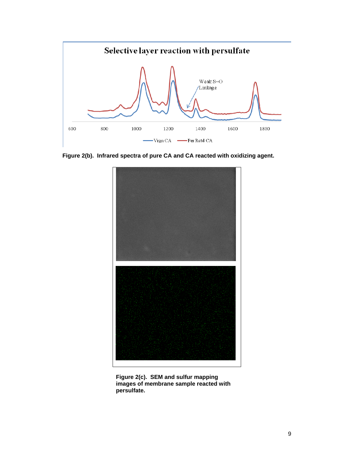

**Figure 2(b). Infrared spectra of pure CA and CA reacted with oxidizing agent.** 



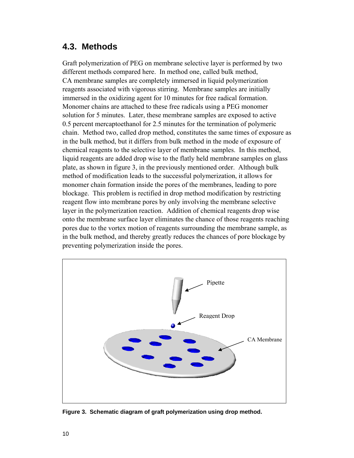#### **4.3. Methods**

Graft polymerization of PEG on membrane selective layer is performed by two different methods compared here. In method one, called bulk method, CA membrane samples are completely immersed in liquid polymerization reagents associated with vigorous stirring. Membrane samples are initially immersed in the oxidizing agent for 10 minutes for free radical formation. Monomer chains are attached to these free radicals using a PEG monomer solution for 5 minutes. Later, these membrane samples are exposed to active 0.5 percent mercaptoethanol for 2.5 minutes for the termination of polymeric chain. Method two, called drop method, constitutes the same times of exposure as in the bulk method, but it differs from bulk method in the mode of exposure of chemical reagents to the selective layer of membrane samples. In this method, liquid reagents are added drop wise to the flatly held membrane samples on glass plate, as shown in figure 3, in the previously mentioned order. Although bulk method of modification leads to the successful polymerization, it allows for monomer chain formation inside the pores of the membranes, leading to pore blockage. This problem is rectified in drop method modification by restricting reagent flow into membrane pores by only involving the membrane selective layer in the polymerization reaction. Addition of chemical reagents drop wise onto the membrane surface layer eliminates the chance of those reagents reaching pores due to the vortex motion of reagents surrounding the membrane sample, as in the bulk method, and thereby greatly reduces the chances of pore blockage by preventing polymerization inside the pores.



**Figure 3. Schematic diagram of graft polymerization using drop method.**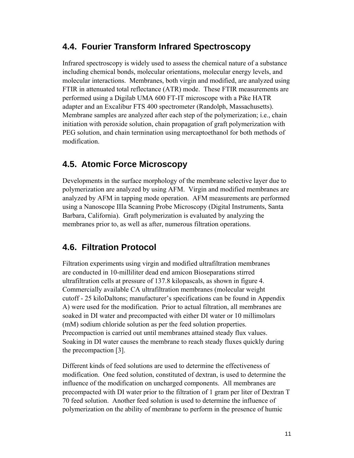#### **4.4. Fourier Transform Infrared Spectroscopy**

Infrared spectroscopy is widely used to assess the chemical nature of a substance including chemical bonds, molecular orientations, molecular energy levels, and molecular interactions. Membranes, both virgin and modified, are analyzed using FTIR in attenuated total reflectance (ATR) mode. These FTIR measurements are performed using a Digilab UMA 600 FT-IT microscope with a Pike HATR adapter and an Excalibur FTS 400 spectrometer (Randolph, Massachusetts). Membrane samples are analyzed after each step of the polymerization; i.e., chain initiation with peroxide solution, chain propagation of graft polymerization with PEG solution, and chain termination using mercaptoethanol for both methods of modification.

#### **4.5. Atomic Force Microscopy**

Developments in the surface morphology of the membrane selective layer due to polymerization are analyzed by using AFM. Virgin and modified membranes are analyzed by AFM in tapping mode operation. AFM measurements are performed using a Nanoscope IIIa Scanning Probe Microscopy (Digital Instruments, Santa Barbara, California). Graft polymerization is evaluated by analyzing the membranes prior to, as well as after, numerous filtration operations.

#### **4.6. Filtration Protocol**

Filtration experiments using virgin and modified ultrafiltration membranes are conducted in 10-milliliter dead end amicon Bioseparations stirred ultrafiltration cells at pressure of 137.8 kilopascals, as shown in figure 4. Commercially available CA ultrafiltration membranes (molecular weight cutoff - 25 kiloDaltons; manufacturer's specifications can be found in Appendix A) were used for the modification. Prior to actual filtration, all membranes are soaked in DI water and precompacted with either DI water or 10 millimolars (mM) sodium chloride solution as per the feed solution properties. Precompaction is carried out until membranes attained steady flux values. Soaking in DI water causes the membrane to reach steady fluxes quickly during the precompaction [3].

Different kinds of feed solutions are used to determine the effectiveness of modification. One feed solution, constituted of dextran, is used to determine the influence of the modification on uncharged components. All membranes are precompacted with DI water prior to the filtration of 1 gram per liter of Dextran T 70 feed solution. Another feed solution is used to determine the influence of polymerization on the ability of membrane to perform in the presence of humic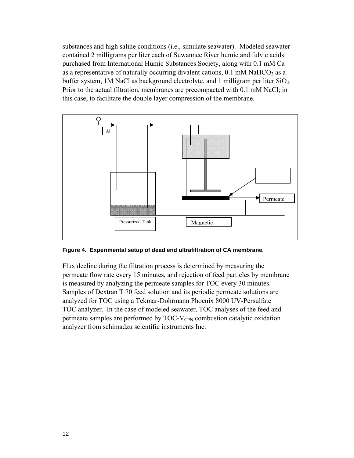substances and high saline conditions (i.e., simulate seawater). Modeled seawater contained 2 milligrams per liter each of Suwannee River humic and fulvic acids purchased from International Humic Substances Society, along with 0.1 mM Ca as a representative of naturally occurring divalent cations,  $0.1 \text{ mM } \text{NaHCO}_3$  as a buffer system, 1M NaCl as background electrolyte, and 1 milligram per liter  $SiO<sub>2</sub>$ . Prior to the actual filtration, membranes are precompacted with 0.1 mM NaCl; in this case, to facilitate the double layer compression of the membrane.



**Figure 4. Experimental setup of dead end ultrafiltration of CA membrane.** 

Flux decline during the filtration process is determined by measuring the permeate flow rate every 15 minutes, and rejection of feed particles by membrane is measured by analyzing the permeate samples for TOC every 30 minutes. Samples of Dextran T 70 feed solution and its periodic permeate solutions are analyzed for TOC using a Tekmar-Dohrmann Phoenix 8000 UV-Persulfate TOC analyzer. In the case of modeled seawater, TOC analyses of the feed and permeate samples are performed by  $TOC-V<sub>CPN</sub>$  combustion catalytic oxidation analyzer from schimadzu scientific instruments Inc.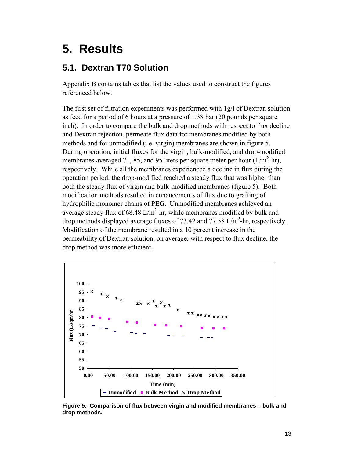### **5. Results**

#### **5.1. Dextran T70 Solution**

Appendix B contains tables that list the values used to construct the figures referenced below.

The first set of filtration experiments was performed with 1g/l of Dextran solution as feed for a period of 6 hours at a pressure of 1.38 bar (20 pounds per square inch). In order to compare the bulk and drop methods with respect to flux decline and Dextran rejection, permeate flux data for membranes modified by both methods and for unmodified (i.e. virgin) membranes are shown in figure 5. During operation, initial fluxes for the virgin, bulk-modified, and drop-modified membranes averaged 71, 85, and 95 liters per square meter per hour  $(L/m^2-hr)$ , respectively. While all the membranes experienced a decline in flux during the operation period, the drop-modified reached a steady flux that was higher than both the steady flux of virgin and bulk-modified membranes (figure 5). Both modification methods resulted in enhancements of flux due to grafting of hydrophilic monomer chains of PEG. Unmodified membranes achieved an average steady flux of  $68.48 \text{ L/m}^2$ -hr, while membranes modified by bulk and drop methods displayed average fluxes of 73.42 and 77.58  $L/m^2$ -hr, respectively. Modification of the membrane resulted in a 10 percent increase in the permeability of Dextran solution, on average; with respect to flux decline, the drop method was more efficient.



**Figure 5. Comparison of flux between virgin and modified membranes – bulk and drop methods.**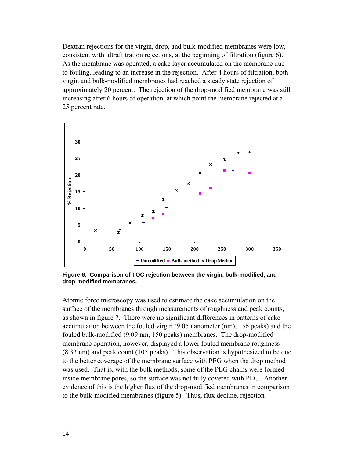Dextran rejections for the virgin, drop, and bulk-modified membranes were low, consistent with ultrafiltration rejections, at the beginning of filtration (figure 6). As the membrane was operated, a cake layer accumulated on the membrane due to fouling, leading to an increase in the rejection. After 4 hours of filtration, both virgin and bulk-modified membranes had reached a steady state rejection of approximately 20 percent. The rejection of the drop-modified membrane was still increasing after 6 hours of operation, at which point the membrane rejected at a 25 percent rate.



**Figure 6. Comparison of TOC rejection between the virgin, bulk-modified, and drop-modified membranes.** 

Atomic force microscopy was used to estimate the cake accumulation on the surface of the membranes through measurements of roughness and peak counts, as shown in figure 7. There were no significant differences in patterns of cake accumulation between the fouled virgin (9.05 nanometer (nm), 156 peaks) and the fouled bulk-modified (9.09 nm, 150 peaks) membranes. The drop-modified membrane operation, however, displayed a lower fouled membrane roughness (8.33 nm) and peak count (105 peaks). This observation is hypothesized to be due to the better coverage of the membrane surface with PEG when the drop method was used. That is, with the bulk methods, some of the PEG chains were formed inside membrane pores, so the surface was not fully covered with PEG. Another evidence of this is the higher flux of the drop-modified membranes in comparison to the bulk-modified membranes (figure 5). Thus, flux decline, rejection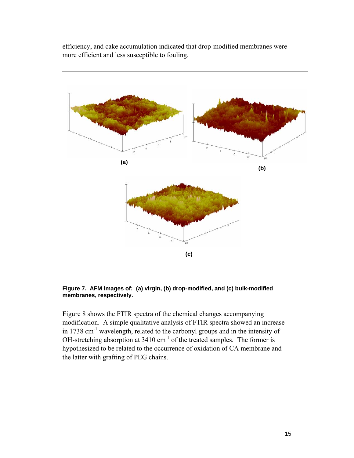efficiency, and cake accumulation indicated that drop-modified membranes were more efficient and less susceptible to fouling.



**Figure 7. AFM images of: (a) virgin, (b) drop-modified, and (c) bulk-modified membranes, respectively.** 

Figure 8 shows the FTIR spectra of the chemical changes accompanying modification. A simple qualitative analysis of FTIR spectra showed an increase in 1738 cm<sup>-1</sup> wavelength, related to the carbonyl groups and in the intensity of OH-stretching absorption at 3410 cm<sup>-1</sup> of the treated samples. The former is hypothesized to be related to the occurrence of oxidation of CA membrane and the latter with grafting of PEG chains.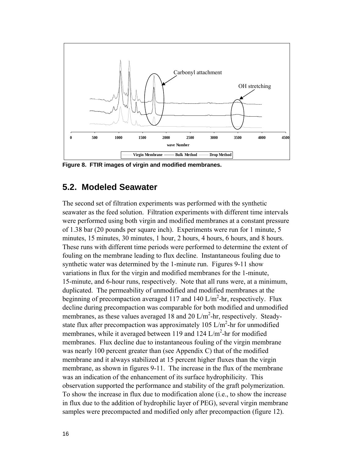

**Figure 8. FTIR images of virgin and modified membranes.** 

#### **5.2. Modeled Seawater**

The second set of filtration experiments was performed with the synthetic seawater as the feed solution. Filtration experiments with different time intervals were performed using both virgin and modified membranes at a constant pressure of 1.38 bar (20 pounds per square inch). Experiments were run for 1 minute, 5 minutes, 15 minutes, 30 minutes, 1 hour, 2 hours, 4 hours, 6 hours, and 8 hours. These runs with different time periods were performed to determine the extent of fouling on the membrane leading to flux decline. Instantaneous fouling due to synthetic water was determined by the 1-minute run. Figures 9-11 show variations in flux for the virgin and modified membranes for the 1-minute, 15-minute, and 6-hour runs, respectively. Note that all runs were, at a minimum, duplicated. The permeability of unmodified and modified membranes at the beginning of precompaction averaged 117 and 140 L/m<sup>2</sup>-hr, respectively. Flux decline during precompaction was comparable for both modified and unmodified membranes, as these values averaged 18 and 20  $L/m^2$ -hr, respectively. Steadystate flux after precompaction was approximately 105 L/m<sup>2</sup>-hr for unmodified membranes, while it averaged between 119 and 124  $L/m<sup>2</sup>$ -hr for modified membranes. Flux decline due to instantaneous fouling of the virgin membrane was nearly 100 percent greater than (see Appendix C) that of the modified membrane and it always stabilized at 15 percent higher fluxes than the virgin membrane, as shown in figures 9-11. The increase in the flux of the membrane was an indication of the enhancement of its surface hydrophilicity. This observation supported the performance and stability of the graft polymerization. To show the increase in flux due to modification alone (i.e., to show the increase in flux due to the addition of hydrophilic layer of PEG), several virgin membrane samples were precompacted and modified only after precompaction (figure 12).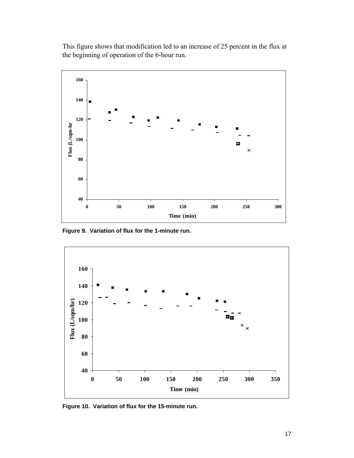This figure shows that modification led to an increase of 25 percent in the flux at the beginning of operation of the 6-hour run.



**Figure 9. Variation of flux for the 1-minute run.** 



**Figure 10. Variation of flux for the 15-minute run.**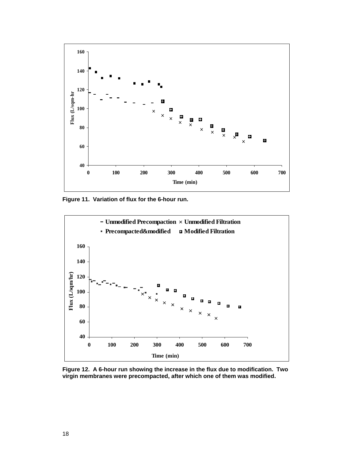

**Figure 11. Variation of flux for the 6-hour run.** 



**Figure 12. A 6-hour run showing the increase in the flux due to modification. Two virgin membranes were precompacted, after which one of them was modified.**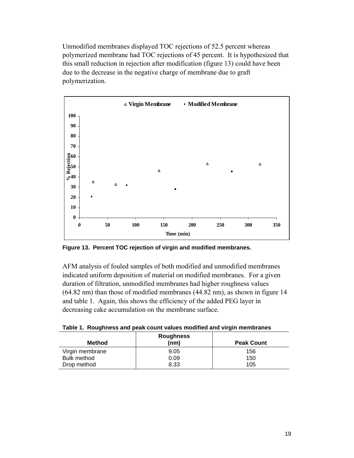Unmodified membranes displayed TOC rejections of 52.5 percent whereas polymerized membrane had TOC rejections of 45 percent. It is hypothesized that this small reduction in rejection after modification (figure 13) could have been due to the decrease in the negative charge of membrane due to graft polymerization.



**Figure 13. Percent TOC rejection of virgin and modified membranes.** 

AFM analysis of fouled samples of both modified and unmodified membranes indicated uniform deposition of material on modified membranes. For a given duration of filtration, unmodified membranes had higher roughness values (64.82 nm) than those of modified membranes (44.82 nm), as shown in figure 14 and table 1. Again, this shows the efficiency of the added PEG layer in decreasing cake accumulation on the membrane surface.

| . which is interesting the power would consider the which will shape the short interest $\sim$ |                          |                   |  |  |  |
|------------------------------------------------------------------------------------------------|--------------------------|-------------------|--|--|--|
| <b>Method</b>                                                                                  | <b>Roughness</b><br>(nm) | <b>Peak Count</b> |  |  |  |
| Virgin membrane                                                                                | 9.05                     | 156               |  |  |  |
| <b>Bulk method</b>                                                                             | 0.09                     | 150               |  |  |  |
| Drop method                                                                                    | 8.33                     | 105               |  |  |  |

**Table 1. Roughness and peak count values modified and virgin membranes**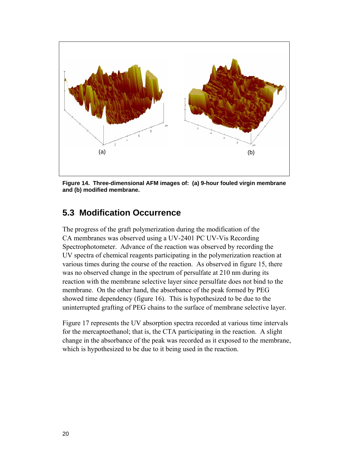

**Figure 14. Three-dimensional AFM images of: (a) 9-hour fouled virgin membrane and (b) modified membrane.** 

#### **5.3 Modification Occurrence**

The progress of the graft polymerization during the modification of the CA membranes was observed using a UV-2401 PC UV-Vis Recording Spectrophotometer. Advance of the reaction was observed by recording the UV spectra of chemical reagents participating in the polymerization reaction at various times during the course of the reaction. As observed in figure 15, there was no observed change in the spectrum of persulfate at 210 nm during its reaction with the membrane selective layer since persulfate does not bind to the membrane. On the other hand, the absorbance of the peak formed by PEG showed time dependency (figure 16). This is hypothesized to be due to the uninterrupted grafting of PEG chains to the surface of membrane selective layer.

Figure 17 represents the UV absorption spectra recorded at various time intervals for the mercaptoethanol; that is, the CTA participating in the reaction. A slight change in the absorbance of the peak was recorded as it exposed to the membrane, which is hypothesized to be due to it being used in the reaction.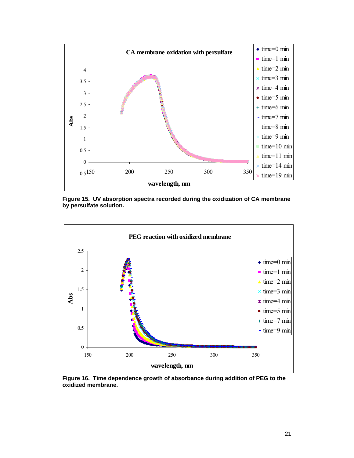

**Figure 15. UV absorption spectra recorded during the oxidization of CA membrane by persulfate solution.** 



**Figure 16. Time dependence growth of absorbance during addition of PEG to the oxidized membrane.**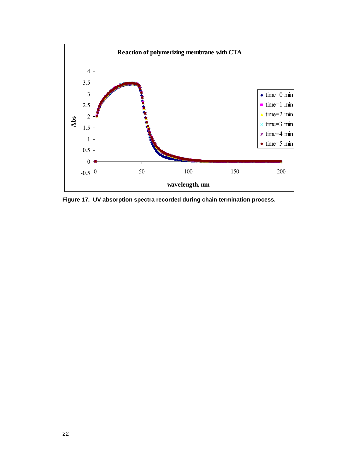

**Figure 17. UV absorption spectra recorded during chain termination process.**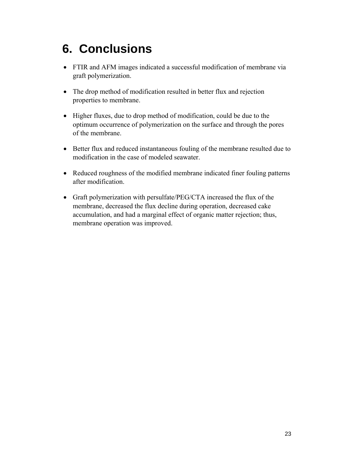# **6. Conclusions**

- FTIR and AFM images indicated a successful modification of membrane via graft polymerization.
- The drop method of modification resulted in better flux and rejection properties to membrane.
- Higher fluxes, due to drop method of modification, could be due to the optimum occurrence of polymerization on the surface and through the pores of the membrane.
- Better flux and reduced instantaneous fouling of the membrane resulted due to modification in the case of modeled seawater.
- Reduced roughness of the modified membrane indicated finer fouling patterns after modification.
- Graft polymerization with persulfate/PEG/CTA increased the flux of the membrane, decreased the flux decline during operation, decreased cake accumulation, and had a marginal effect of organic matter rejection; thus, membrane operation was improved.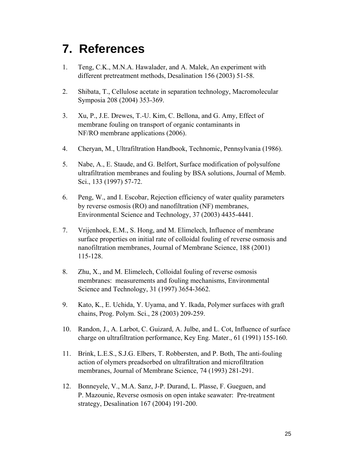### **7. References**

- 1. Teng, C.K., M.N.A. Hawalader, and A. Malek, An experiment with different pretreatment methods, Desalination 156 (2003) 51-58.
- 2. Shibata, T., Cellulose acetate in separation technology, Macromolecular Symposia 208 (2004) 353-369.
- 3. Xu, P., J.E. Drewes, T.-U. Kim, C. Bellona, and G. Amy, Effect of membrane fouling on transport of organic contaminants in NF/RO membrane applications (2006).
- 4. Cheryan, M., Ultrafiltration Handbook, Technomic, Pennsylvania (1986).
- 5. Nabe, A., E. Staude, and G. Belfort, Surface modification of polysulfone ultrafiltration membranes and fouling by BSA solutions, Journal of Memb. Sci., 133 (1997) 57-72.
- 6. Peng, W., and I. Escobar, Rejection efficiency of water quality parameters by reverse osmosis (RO) and nanofiltration (NF) membranes, Environmental Science and Technology, 37 (2003) 4435-4441.
- 7. Vrijenhoek, E.M., S. Hong, and M. Elimelech, Influence of membrane surface properties on initial rate of colloidal fouling of reverse osmosis and nanofiltration membranes, Journal of Membrane Science, 188 (2001) 115-128.
- 8. Zhu, X., and M. Elimelech, Colloidal fouling of reverse osmosis membranes: measurements and fouling mechanisms, Environmental Science and Technology, 31 (1997) 3654-3662.
- 9. Kato, K., E. Uchida, Y. Uyama, and Y. Ikada, Polymer surfaces with graft chains, Prog. Polym. Sci., 28 (2003) 209-259.
- 10. Randon, J., A. Larbot, C. Guizard, A. Julbe, and L. Cot, Influence of surface charge on ultrafiltration performance, Key Eng. Mater., 61 (1991) 155-160.
- 11. Brink, L.E.S., S.J.G. Elbers, T. Robbersten, and P. Both, The anti-fouling action of olymers preadsorbed on ultrafiltration and microfiltration membranes, Journal of Membrane Science, 74 (1993) 281-291.
- 12. Bonneyele, V., M.A. Sanz, J-P. Durand, L. Plasse, F. Gueguen, and P. Mazounie, Reverse osmosis on open intake seawater: Pre-treatment strategy, Desalination 167 (2004) 191-200.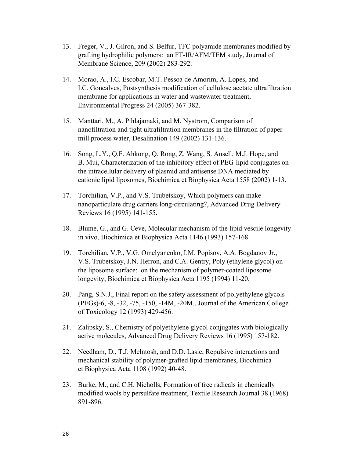- 13. Freger, V., J. Gilron, and S. Belfur, TFC polyamide membranes modified by grafting hydrophilic polymers: an FT-IR/AFM/TEM study, Journal of Membrane Science, 209 (2002) 283-292.
- 14. Morao, A., I.C. Escobar, M.T. Pessoa de Amorim, A. Lopes, and I.C. Goncalves, Postsynthesis modification of cellulose acetate ultrafiltration membrane for applications in water and wastewater treatment, Environmental Progress 24 (2005) 367-382.
- 15. Manttari, M., A. Pihlajamaki, and M. Nystrom, Comparison of nanofiltration and tight ultrafiltration membranes in the filtration of paper mill process water, Desalination 149 (2002) 131-136.
- 16. Song, L.Y., Q.F. Ahkong, Q. Rong, Z. Wang, S. Ansell, M.J. Hope, and B. Mui, Characterization of the inhibitory effect of PEG-lipid conjugates on the intracellular delivery of plasmid and antisense DNA mediated by cationic lipid liposomes, Biochimica et Biophysica Acta 1558 (2002) 1-13.
- 17. Torchilian, V.P., and V.S. Trubetskoy, Which polymers can make nanoparticulate drug carriers long-circulating?, Advanced Drug Delivery Reviews 16 (1995) 141-155.
- 18. Blume, G., and G. Ceve, Molecular mechanism of the lipid vescile longevity in vivo, Biochimica et Biophysica Acta 1146 (1993) 157-168.
- 19. Torchilian, V.P., V.G. Omelyanenko, I.M. Popisov, A.A. Bogdanov Jr., V.S. Trubetskoy, J.N. Herron, and C.A. Gentry, Poly (ethylene glycol) on the liposome surface: on the mechanism of polymer-coated liposome longevity, Biochimica et Biophysica Acta 1195 (1994) 11-20.
- 20. Pang, S.N.J., Final report on the safety assessment of polyethylene glycols (PEGs)-6, -8, -32, -75, -150, -14M, -20M., Journal of the American College of Toxicology 12 (1993) 429-456.
- 21. Zalipsky, S., Chemistry of polyethylene glycol conjugates with biologically active molecules, Advanced Drug Delivery Reviews 16 (1995) 157-182.
- 22. Needham, D., T.J. Melntosh, and D.D. Lasic, Repulsive interactions and mechanical stability of polymer-grafted lipid membranes, Biochimica et Biophysica Acta 1108 (1992) 40-48.
- 23. Burke, M., and C.H. Nicholls, Formation of free radicals in chemically modified wools by persulfate treatment, Textile Research Journal 38 (1968) 891-896.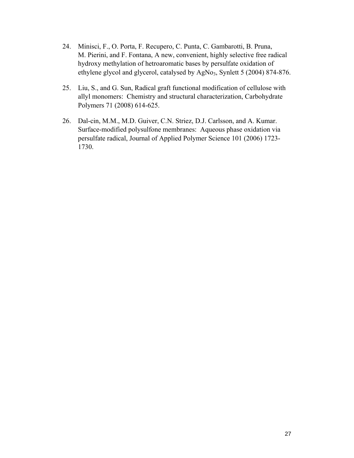- 24. Minisci, F., O. Porta, F. Recupero, C. Punta, C. Gambarotti, B. Pruna, M. Pierini, and F. Fontana, A new, convenient, highly selective free radical hydroxy methylation of hetroaromatic bases by persulfate oxidation of ethylene glycol and glycerol, catalysed by AgNo<sub>3</sub>, Synlett 5 (2004) 874-876.
- 25. Liu, S., and G. Sun, Radical graft functional modification of cellulose with allyl monomers: Chemistry and structural characterization, Carbohydrate Polymers 71 (2008) 614-625.
- 26. Dal-cin, M.M., M.D. Guiver, C.N. Striez, D.J. Carlsson, and A. Kumar. Surface-modified polysulfone membranes: Aqueous phase oxidation via persulfate radical, Journal of Applied Polymer Science 101 (2006) 1723- 1730.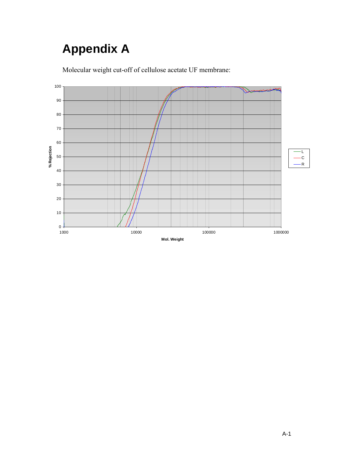# **Appendix A**

Molecular weight cut-off of cellulose acetate UF membrane:

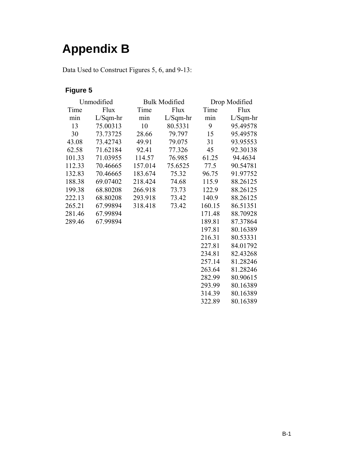## **Appendix B**

Data Used to Construct Figures 5, 6, and 9-13:

#### **Figure 5**

| Unmodified |            |         | <b>Bulk Modified</b> |        | Drop Modified |  |
|------------|------------|---------|----------------------|--------|---------------|--|
| Time       | Flux       | Time    | Flux                 | Time   | Flux          |  |
| min        | $L/Sqm-hr$ | min     | $L/Sqm-hr$           | min    | $L/Sqm-hr$    |  |
| 13         | 75.00313   | 10      | 80.5331              | 9      | 95.49578      |  |
| 30         | 73.73725   | 28.66   | 79.797               | 15     | 95.49578      |  |
| 43.08      | 73.42743   | 49.91   | 79.075               | 31     | 93.95553      |  |
| 62.58      | 71.62184   | 92.41   | 77.326               | 45     | 92.30138      |  |
| 101.33     | 71.03955   | 114.57  | 76.985               | 61.25  | 94.4634       |  |
| 112.33     | 70.46665   | 157.014 | 75.6525              | 77.5   | 90.54781      |  |
| 132.83     | 70.46665   | 183.674 | 75.32                | 96.75  | 91.97752      |  |
| 188.38     | 69.07402   | 218.424 | 74.68                | 115.9  | 88.26125      |  |
| 199.38     | 68.80208   | 266.918 | 73.73                | 122.9  | 88.26125      |  |
| 222.13     | 68.80208   | 293.918 | 73.42                | 140.9  | 88.26125      |  |
| 265.21     | 67.99894   | 318.418 | 73.42                | 160.15 | 86.51351      |  |
| 281.46     | 67.99894   |         |                      | 171.48 | 88.70928      |  |
| 289.46     | 67.99894   |         |                      | 189.81 | 87.37864      |  |
|            |            |         |                      | 197.81 | 80.16389      |  |
|            |            |         |                      | 216.31 | 80.53331      |  |
|            |            |         |                      | 227.81 | 84.01792      |  |

227.81 84.01792<br>234.81 82.43268 234.81 82.43268<br>257.14 81.28246

263.64 81.28246<br>282.99 80.90615 282.99 80.90615<br>293.99 80.16389 293.99 80.16389<br>314.39 80.16389 314.39 80.16389

257.14 81.28246

80.16389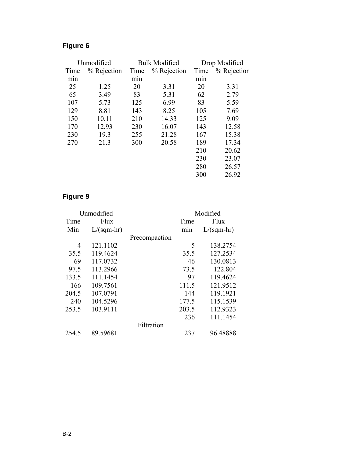#### **Figure 6**

| Unmodified |             | <b>Bulk Modified</b> |             | Drop Modified |             |
|------------|-------------|----------------------|-------------|---------------|-------------|
| Time       | % Rejection | Time                 | % Rejection | Time          | % Rejection |
| min        |             | min                  |             | min           |             |
| 25         | 1.25        | 20                   | 3.31        | 20            | 3.31        |
| 65         | 3.49        | 83                   | 5.31        | 62            | 2.79        |
| 107        | 5.73        | 125                  | 6.99        | 83            | 5.59        |
| 129        | 8.81        | 143                  | 8.25        | 105           | 7.69        |
| 150        | 10.11       | 210                  | 14.33       | 125           | 9.09        |
| 170        | 12.93       | 230                  | 16.07       | 143           | 12.58       |
| 230        | 19.3        | 255                  | 21.28       | 167           | 15.38       |
| 270        | 21.3        | 300                  | 20.58       | 189           | 17.34       |
|            |             |                      |             | 210           | 20.62       |
|            |             |                      |             | 230           | 23.07       |
|            |             |                      |             | 280           | 26.57       |
|            |             |                      |             | 300           | 26.92       |

#### **Figure 9**

| Unmodified |              |               | Modified |              |
|------------|--------------|---------------|----------|--------------|
| Time       | Flux         |               | Time     | Flux         |
| Min        | $L/(sqm-hr)$ |               | min      | $L/(sqm-hr)$ |
|            |              | Precompaction |          |              |
| 4          | 121.1102     |               | 5        | 138.2754     |
| 35.5       | 119.4624     |               | 35.5     | 127.2534     |
| 69         | 117.0732     |               | 46       | 130.0813     |
| 97.5       | 113.2966     |               | 73.5     | 122.804      |
| 133.5      | 111.1454     |               | 97       | 119.4624     |
| 166        | 109.7561     |               | 111.5    | 121.9512     |
| 204.5      | 107.0791     |               | 144      | 119.1921     |
| 240        | 104.5296     |               | 177.5    | 115.1539     |
| 253.5      | 103.9111     |               | 203.5    | 112.9323     |
|            |              |               | 236      | 111.1454     |
|            |              | Filtration    |          |              |
| 254.5      | 89.59681     |               | 237      | 96.48888     |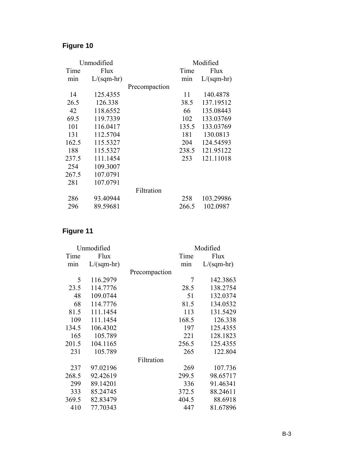#### **Figure 10**

| Unmodified |              |               |       | Modified     |
|------------|--------------|---------------|-------|--------------|
| Time       | Flux         |               | Time  | Flux         |
| min        | $L/(sqm-hr)$ |               | min   | $L/(sqm-hr)$ |
|            |              | Precompaction |       |              |
| 14         | 125.4355     |               | 11    | 140.4878     |
| 26.5       | 126.338      |               | 38.5  | 137.19512    |
| 42         | 118.6552     |               | 66    | 135.08443    |
| 69.5       | 119.7339     |               | 102   | 133.03769    |
| 101        | 116.0417     |               | 135.5 | 133.03769    |
| 131        | 112.5704     |               | 181   | 130.0813     |
| 162.5      | 115.5327     |               | 204   | 124.54593    |
| 188        | 115.5327     |               | 238.5 | 121.95122    |
| 237.5      | 111.1454     |               | 253   | 121.11018    |
| 254        | 109.3007     |               |       |              |
| 267.5      | 107.0791     |               |       |              |
| 281        | 107.0791     |               |       |              |
|            |              | Filtration    |       |              |
| 286        | 93.40944     |               | 258   | 103.29986    |
| 296        | 89.59681     |               | 266.5 | 102.0987     |

#### **Figure 11**

| Unmodified |              |               | Modified |              |
|------------|--------------|---------------|----------|--------------|
| Time       | Flux         |               | Time     | Flux         |
| min        | $L/(sqm-hr)$ |               | mın      | $L/(sqm-hr)$ |
|            |              | Precompaction |          |              |
| 5          | 116.2979     |               | 7        | 142.3863     |
| 23.5       | 114.7776     |               | 28.5     | 138.2754     |
| 48         | 109.0744     |               | 51       | 132.0374     |
| 68         | 114.7776     |               | 81.5     | 134.0532     |
| 81.5       | 111.1454     |               | 113      | 131.5429     |
| 109        | 111.1454     |               | 168.5    | 126.338      |
| 134.5      | 106.4302     |               | 197      | 125.4355     |
| 165        | 105.789      |               | 221      | 128.1823     |
| 201.5      | 104.1165     |               | 256.5    | 125.4355     |
| 231        | 105.789      |               | 265      | 122.804      |
|            |              | Filtration    |          |              |
| 237        | 97.02196     |               | 269      | 107.736      |
| 268.5      | 92.42619     |               | 299.5    | 98.65717     |
| 299        | 89.14201     |               | 336      | 91.46341     |
| 333        | 85.24745     |               | 372.5    | 88.24611     |
| 369.5      | 82.83479     |               | 404.5    | 88.6918      |
| 410        | 77.70343     |               | 447      | 81.67896     |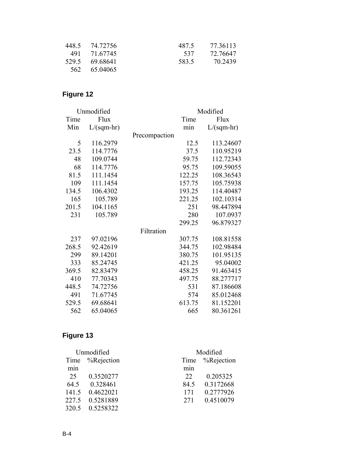| 448.5 74.72756 | 487.5 | 77.36113 |
|----------------|-------|----------|
| 491 71 67745   | 537   | 72 76647 |
| 529.5 69.68641 | 583.5 | 70 2439  |
| 562 65 04065   |       |          |

#### **Figure 12**

| Unmodified |              |               | Modified |              |
|------------|--------------|---------------|----------|--------------|
| Time       | Flux         |               | Time     | Flux         |
| Min        | $L/(sqm-hr)$ |               | min      | $L/(sqm-hr)$ |
|            |              | Precompaction |          |              |
| 5          | 116.2979     |               | 12.5     | 113.24607    |
| 23.5       | 114.7776     |               | 37.5     | 110.95219    |
| 48         | 109.0744     |               | 59.75    | 112.72343    |
| 68         | 114.7776     |               | 95.75    | 109.59055    |
| 81.5       | 111.1454     |               | 122.25   | 108.36543    |
| 109        | 111.1454     |               | 157.75   | 105.75938    |
| 134.5      | 106.4302     |               | 193.25   | 114.40487    |
| 165        | 105.789      |               | 221.25   | 102.10314    |
| 201.5      | 104.1165     |               | 251      | 98.447894    |
| 231        | 105.789      |               | 280      | 107.0937     |
|            |              |               | 299.25   | 96.879327    |
|            |              | Filtration    |          |              |
| 237        | 97.02196     |               | 307.75   | 108.81558    |
| 268.5      | 92.42619     |               | 344.75   | 102.98484    |
| 299        | 89.14201     |               | 380.75   | 101.95135    |
| 333        | 85.24745     |               | 421.25   | 95.04002     |
| 369.5      | 82.83479     |               | 458.25   | 91.463415    |
| 410        | 77.70343     |               | 497.75   | 88.277717    |
| 448.5      | 74.72756     |               | 531      | 87.186608    |
| 491        | 71.67745     |               | 574      | 85.012468    |
| 529.5      | 69.68641     |               | 613.75   | 81.152201    |
| 562        | 65.04065     |               | 665      | 80.361261    |

#### **Figure 13**

| Unmodified |                 | Modified         |                 |  |
|------------|-----------------|------------------|-----------------|--|
|            | Time %Rejection |                  | Time %Rejection |  |
| min        |                 | m <sub>1</sub> n |                 |  |
| 25         | 0.3520277       | 22               | 0.205325        |  |
| 64.5       | 0.328461        | 84.5             | 0.3172668       |  |
| 141.5      | 0.4622021       | 171              | 0.2777926       |  |
| 227.5      | 0.5281889       | 2.71             | 0.4510079       |  |
| 320.5      | 0.5258322       |                  |                 |  |